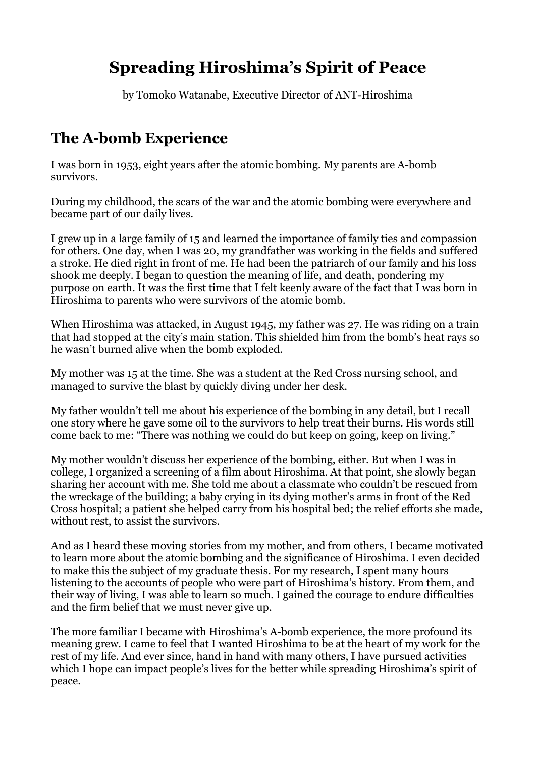# **Spreading Hiroshima's Spirit of Peace**

by Tomoko Watanabe, Executive Director of ANT-Hiroshima

## **The A-bomb Experience**

I was born in 1953, eight years after the atomic bombing. My parents are A-bomb survivors.

During my childhood, the scars of the war and the atomic bombing were everywhere and became part of our daily lives.

I grew up in a large family of 15 and learned the importance of family ties and compassion for others. One day, when I was 20, my grandfather was working in the fields and suffered a stroke. He died right in front of me. He had been the patriarch of our family and his loss shook me deeply. I began to question the meaning of life, and death, pondering my purpose on earth. It was the first time that I felt keenly aware of the fact that I was born in Hiroshima to parents who were survivors of the atomic bomb.

When Hiroshima was attacked, in August 1945, my father was 27. He was riding on a train that had stopped at the city's main station. This shielded him from the bomb's heat rays so he wasn't burned alive when the bomb exploded.

My mother was 15 at the time. She was a student at the Red Cross nursing school, and managed to survive the blast by quickly diving under her desk.

My father wouldn't tell me about his experience of the bombing in any detail, but I recall one story where he gave some oil to the survivors to help treat their burns. His words still come back to me: "There was nothing we could do but keep on going, keep on living."

My mother wouldn't discuss her experience of the bombing, either. But when I was in college, I organized a screening of a film about Hiroshima. At that point, she slowly began sharing her account with me. She told me about a classmate who couldn't be rescued from the wreckage of the building; a baby crying in its dying mother's arms in front of the Red Cross hospital; a patient she helped carry from his hospital bed; the relief efforts she made, without rest, to assist the survivors.

And as I heard these moving stories from my mother, and from others, I became motivated to learn more about the atomic bombing and the significance of Hiroshima. I even decided to make this the subject of my graduate thesis. For my research, I spent many hours listening to the accounts of people who were part of Hiroshima's history. From them, and their way of living, I was able to learn so much. I gained the courage to endure difficulties and the firm belief that we must never give up.

The more familiar I became with Hiroshima's A-bomb experience, the more profound its meaning grew. I came to feel that I wanted Hiroshima to be at the heart of my work for the rest of my life. And ever since, hand in hand with many others, I have pursued activities which I hope can impact people's lives for the better while spreading Hiroshima's spirit of peace.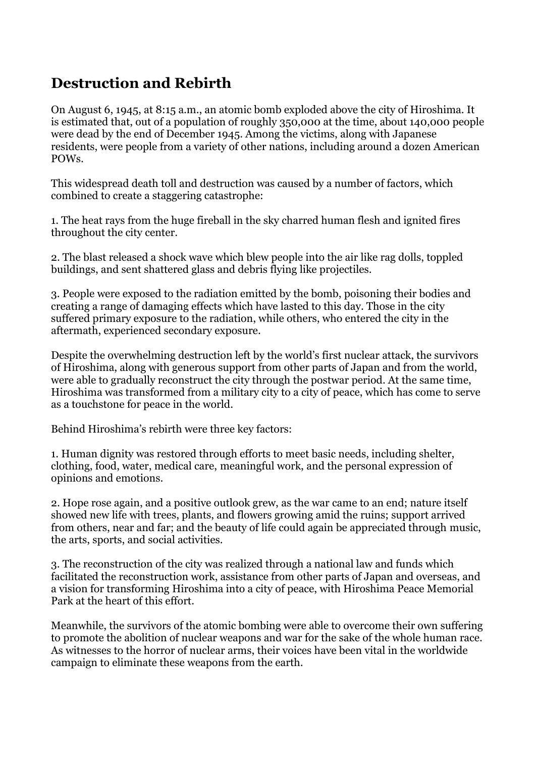### **Destruction and Rebirth**

On August 6, 1945, at 8:15 a.m., an atomic bomb exploded above the city of Hiroshima. It is estimated that, out of a population of roughly 350,000 at the time, about 140,000 people were dead by the end of December 1945. Among the victims, along with Japanese residents, were people from a variety of other nations, including around a dozen American POWs.

This widespread death toll and destruction was caused by a number of factors, which combined to create a staggering catastrophe:

1. The heat rays from the huge fireball in the sky charred human flesh and ignited fires throughout the city center.

2. The blast released a shock wave which blew people into the air like rag dolls, toppled buildings, and sent shattered glass and debris flying like projectiles.

3. People were exposed to the radiation emitted by the bomb, poisoning their bodies and creating a range of damaging effects which have lasted to this day. Those in the city suffered primary exposure to the radiation, while others, who entered the city in the aftermath, experienced secondary exposure.

Despite the overwhelming destruction left by the world's first nuclear attack, the survivors of Hiroshima, along with generous support from other parts of Japan and from the world, were able to gradually reconstruct the city through the postwar period. At the same time, Hiroshima was transformed from a military city to a city of peace, which has come to serve as a touchstone for peace in the world.

Behind Hiroshima's rebirth were three key factors:

1. Human dignity was restored through efforts to meet basic needs, including shelter, clothing, food, water, medical care, meaningful work, and the personal expression of opinions and emotions.

2. Hope rose again, and a positive outlook grew, as the war came to an end; nature itself showed new life with trees, plants, and flowers growing amid the ruins; support arrived from others, near and far; and the beauty of life could again be appreciated through music, the arts, sports, and social activities.

3. The reconstruction of the city was realized through a national law and funds which facilitated the reconstruction work, assistance from other parts of Japan and overseas, and a vision for transforming Hiroshima into a city of peace, with Hiroshima Peace Memorial Park at the heart of this effort.

Meanwhile, the survivors of the atomic bombing were able to overcome their own suffering to promote the abolition of nuclear weapons and war for the sake of the whole human race. As witnesses to the horror of nuclear arms, their voices have been vital in the worldwide campaign to eliminate these weapons from the earth.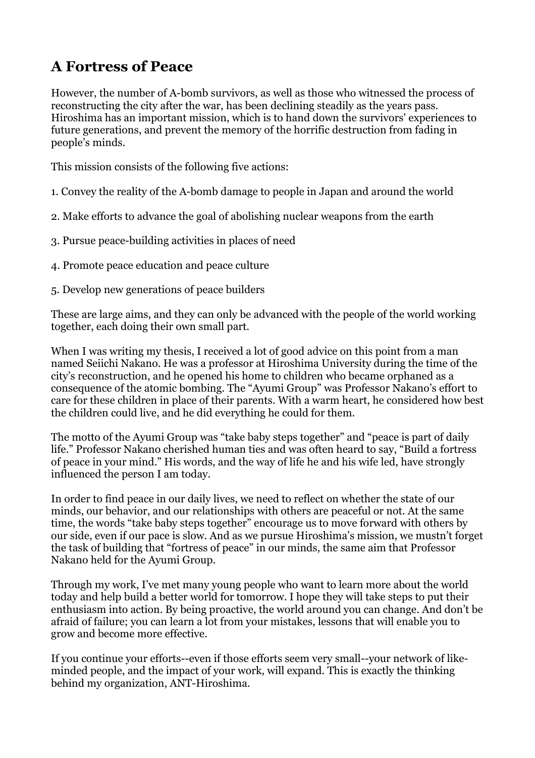## **A Fortress of Peace**

However, the number of A-bomb survivors, as well as those who witnessed the process of reconstructing the city after the war, has been declining steadily as the years pass. Hiroshima has an important mission, which is to hand down the survivors' experiences to future generations, and prevent the memory of the horrific destruction from fading in people's minds.

This mission consists of the following five actions:

- 1. Convey the reality of the A-bomb damage to people in Japan and around the world
- 2. Make efforts to advance the goal of abolishing nuclear weapons from the earth
- 3. Pursue peace-building activities in places of need
- 4. Promote peace education and peace culture
- 5. Develop new generations of peace builders

These are large aims, and they can only be advanced with the people of the world working together, each doing their own small part.

When I was writing my thesis, I received a lot of good advice on this point from a man named Seiichi Nakano. He was a professor at Hiroshima University during the time of the city's reconstruction, and he opened his home to children who became orphaned as a consequence of the atomic bombing. The "Ayumi Group" was Professor Nakano's effort to care for these children in place of their parents. With a warm heart, he considered how best the children could live, and he did everything he could for them.

The motto of the Ayumi Group was "take baby steps together" and "peace is part of daily life." Professor Nakano cherished human ties and was often heard to say, "Build a fortress of peace in your mind." His words, and the way of life he and his wife led, have strongly influenced the person I am today.

In order to find peace in our daily lives, we need to reflect on whether the state of our minds, our behavior, and our relationships with others are peaceful or not. At the same time, the words "take baby steps together" encourage us to move forward with others by our side, even if our pace is slow. And as we pursue Hiroshima's mission, we mustn't forget the task of building that "fortress of peace" in our minds, the same aim that Professor Nakano held for the Ayumi Group.

Through my work, I've met many young people who want to learn more about the world today and help build a better world for tomorrow. I hope they will take steps to put their enthusiasm into action. By being proactive, the world around you can change. And don't be afraid of failure; you can learn a lot from your mistakes, lessons that will enable you to grow and become more effective.

If you continue your efforts--even if those efforts seem very small--your network of likeminded people, and the impact of your work, will expand. This is exactly the thinking behind my organization, ANT-Hiroshima.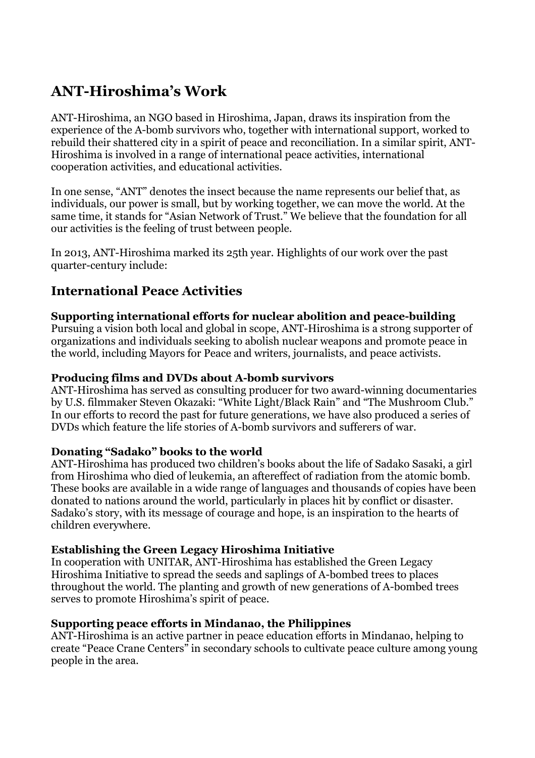## **ANT-Hiroshima's Work**

ANT-Hiroshima, an NGO based in Hiroshima, Japan, draws its inspiration from the experience of the A-bomb survivors who, together with international support, worked to rebuild their shattered city in a spirit of peace and reconciliation. In a similar spirit, ANT-Hiroshima is involved in a range of international peace activities, international cooperation activities, and educational activities.

In one sense, "ANT" denotes the insect because the name represents our belief that, as individuals, our power is small, but by working together, we can move the world. At the same time, it stands for "Asian Network of Trust." We believe that the foundation for all our activities is the feeling of trust between people.

In 2013, ANT-Hiroshima marked its 25th year. Highlights of our work over the past quarter-century include:

### **International Peace Activities**

#### **Supporting international efforts for nuclear abolition and peace-building**

Pursuing a vision both local and global in scope, ANT-Hiroshima is a strong supporter of organizations and individuals seeking to abolish nuclear weapons and promote peace in the world, including Mayors for Peace and writers, journalists, and peace activists.

#### **Producing films and DVDs about A-bomb survivors**

ANT-Hiroshima has served as consulting producer for two award-winning documentaries by U.S. filmmaker Steven Okazaki: "White Light/Black Rain" and "The Mushroom Club." In our efforts to record the past for future generations, we have also produced a series of DVDs which feature the life stories of A-bomb survivors and sufferers of war.

#### **Donating "Sadako" books to the world**

ANT-Hiroshima has produced two children's books about the life of Sadako Sasaki, a girl from Hiroshima who died of leukemia, an aftereffect of radiation from the atomic bomb. These books are available in a wide range of languages and thousands of copies have been donated to nations around the world, particularly in places hit by conflict or disaster. Sadako's story, with its message of courage and hope, is an inspiration to the hearts of children everywhere.

#### **Establishing the Green Legacy Hiroshima Initiative**

In cooperation with UNITAR, ANT-Hiroshima has established the Green Legacy Hiroshima Initiative to spread the seeds and saplings of A-bombed trees to places throughout the world. The planting and growth of new generations of A-bombed trees serves to promote Hiroshima's spirit of peace.

#### **Supporting peace efforts in Mindanao, the Philippines**

ANT-Hiroshima is an active partner in peace education efforts in Mindanao, helping to create "Peace Crane Centers" in secondary schools to cultivate peace culture among young people in the area.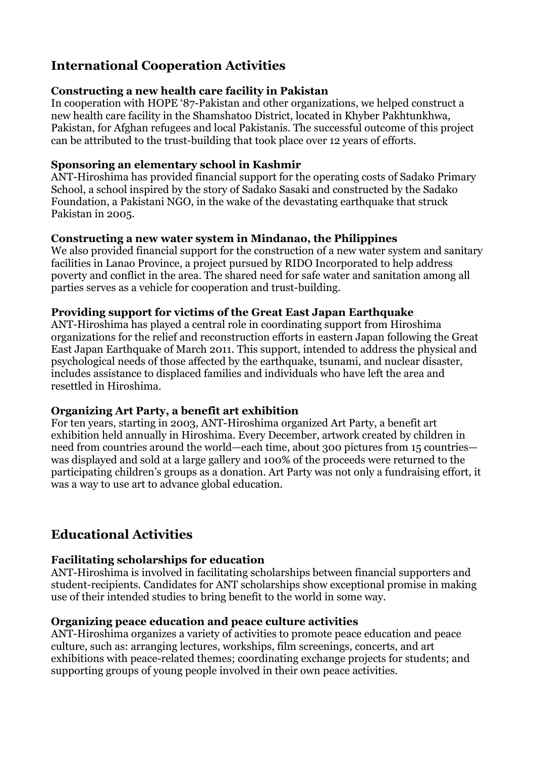### **International Cooperation Activities**

#### **Constructing a new health care facility in Pakistan**

In cooperation with HOPE '87-Pakistan and other organizations, we helped construct a new health care facility in the Shamshatoo District, located in Khyber Pakhtunkhwa, Pakistan, for Afghan refugees and local Pakistanis. The successful outcome of this project can be attributed to the trust-building that took place over 12 years of efforts.

#### **Sponsoring an elementary school in Kashmir**

ANT-Hiroshima has provided financial support for the operating costs of Sadako Primary School, a school inspired by the story of Sadako Sasaki and constructed by the Sadako Foundation, a Pakistani NGO, in the wake of the devastating earthquake that struck Pakistan in 2005.

#### **Constructing a new water system in Mindanao, the Philippines**

We also provided financial support for the construction of a new water system and sanitary facilities in Lanao Province, a project pursued by RIDO Incorporated to help address poverty and conflict in the area. The shared need for safe water and sanitation among all parties serves as a vehicle for cooperation and trust-building.

#### **Providing support for victims of the Great East Japan Earthquake**

ANT-Hiroshima has played a central role in coordinating support from Hiroshima organizations for the relief and reconstruction efforts in eastern Japan following the Great East Japan Earthquake of March 2011. This support, intended to address the physical and psychological needs of those affected by the earthquake, tsunami, and nuclear disaster, includes assistance to displaced families and individuals who have left the area and resettled in Hiroshima.

#### **Organizing Art Party, a benefit art exhibition**

For ten years, starting in 2003, ANT-Hiroshima organized Art Party, a benefit art exhibition held annually in Hiroshima. Every December, artwork created by children in need from countries around the world—each time, about 300 pictures from 15 countries was displayed and sold at a large gallery and 100% of the proceeds were returned to the participating children's groups as a donation. Art Party was not only a fundraising effort, it was a way to use art to advance global education.

### **Educational Activities**

#### **Facilitating scholarships for education**

ANT-Hiroshima is involved in facilitating scholarships between financial supporters and student-recipients. Candidates for ANT scholarships show exceptional promise in making use of their intended studies to bring benefit to the world in some way.

#### **Organizing peace education and peace culture activities**

ANT-Hiroshima organizes a variety of activities to promote peace education and peace culture, such as: arranging lectures, workships, film screenings, concerts, and art exhibitions with peace-related themes; coordinating exchange projects for students; and supporting groups of young people involved in their own peace activities.